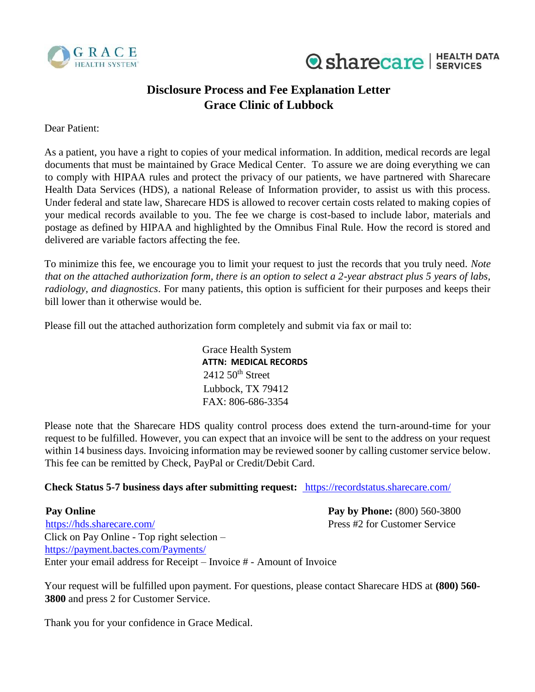



## **Disclosure Process and Fee Explanation Letter Grace Clinic of Lubbock**

Dear Patient:

As a patient, you have a right to copies of your medical information. In addition, medical records are legal documents that must be maintained by Grace Medical Center. To assure we are doing everything we can to comply with HIPAA rules and protect the privacy of our patients, we have partnered with Sharecare Health Data Services (HDS), a national Release of Information provider, to assist us with this process. Under federal and state law, Sharecare HDS is allowed to recover certain costs related to making copies of your medical records available to you. The fee we charge is cost-based to include labor, materials and postage as defined by HIPAA and highlighted by the Omnibus Final Rule. How the record is stored and delivered are variable factors affecting the fee.

To minimize this fee, we encourage you to limit your request to just the records that you truly need. *Note that on the attached authorization form, there is an option to select a 2-year abstract plus 5 years of labs, radiology, and diagnostics*. For many patients, this option is sufficient for their purposes and keeps their bill lower than it otherwise would be.

Please fill out the attached authorization form completely and submit via fax or mail to:

Grace Health System **ATTN: MEDICAL RECORDS**  $2412\,50$ <sup>th</sup> Street Lubbock, TX 79412 FAX: 806-686-3354

Please note that the Sharecare HDS quality control process does extend the turn-around-time for your request to be fulfilled. However, you can expect that an invoice will be sent to the address on your request within 14 business days. Invoicing information may be reviewed sooner by calling customer service below. This fee can be remitted by Check, PayPal or Credit/Debit Card.

## **Check Status 5-7 business days after submitting request:** <https://recordstatus.sharecare.com/>

**Pay Online Pay Online Pay by Phone:** (800) 560-3800 <https://hds.sharecare.com/> [Pr](https://hds.sharecare.com/)ess #2 for Customer Service Click on Pay Online - Top right selection – <https://payment.bactes.com/Payments/> Enter your email address for Receipt – Invoice # - Amount of Invoice

Your request will be fulfilled upon payment. For questions, please contact Sharecare HDS at **(800) 560- 3800** and press 2 for Customer Service.

Thank you for your confidence in Grace Medical.